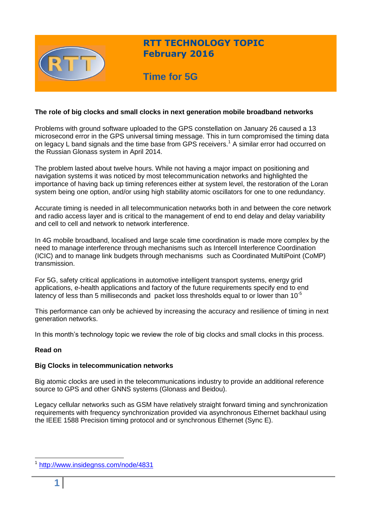

## **RTT TECHNOLOGY TOPIC February 2016**

# **Time for 5G**

#### **The role of big clocks and small clocks in next generation mobile broadband networks**

Problems with ground software uploaded to the GPS constellation on January 26 caused a 13 microsecond error in the GPS universal timing message. This in turn compromised the timing data on legacy L band signals and the time base from GPS receivers.<sup>1</sup> A similar error had occurred on the Russian Glonass system in April 2014.

The problem lasted about twelve hours. While not having a major impact on positioning and navigation systems it was noticed by most telecommunication networks and highlighted the importance of having back up timing references either at system level, the restoration of the Loran system being one option, and/or using high stability atomic oscillators for one to one redundancy.

Accurate timing is needed in all telecommunication networks both in and between the core network and radio access layer and is critical to the management of end to end delay and delay variability and cell to cell and network to network interference.

In 4G mobile broadband, localised and large scale time coordination is made more complex by the need to manage interference through mechanisms such as Intercell Interference Coordination (ICIC) and to manage link budgets through mechanisms such as Coordinated MultiPoint (CoMP) transmission.

For 5G, safety critical applications in automotive intelligent transport systems, energy grid applications, e-health applications and factory of the future requirements specify end to end latency of less than 5 milliseconds and packet loss thresholds equal to or lower than  $10^{-5}$ 

This performance can only be achieved by increasing the accuracy and resilience of timing in next generation networks.

In this month's technology topic we review the role of big clocks and small clocks in this process.

#### **Read on**

#### **Big Clocks in telecommunication networks**

Big atomic clocks are used in the telecommunications industry to provide an additional reference source to GPS and other GNNS systems (Glonass and Beidou).

Legacy cellular networks such as GSM have relatively straight forward timing and synchronization requirements with frequency synchronization provided via asynchronous Ethernet backhaul using the IEEE 1588 Precision timing protocol and or synchronous Ethernet (Sync E).

 $\overline{a}$ 

<sup>1</sup> <http://www.insidegnss.com/node/4831>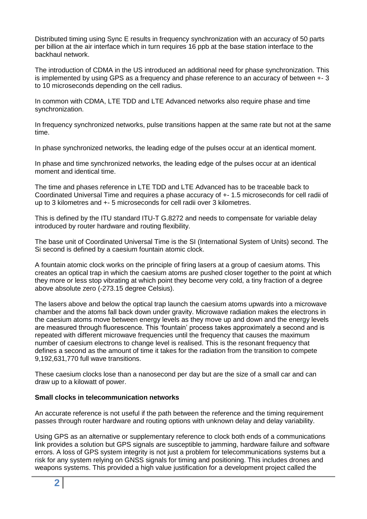Distributed timing using Sync E results in frequency synchronization with an accuracy of 50 parts per billion at the air interface which in turn requires 16 ppb at the base station interface to the backhaul network.

The introduction of CDMA in the US introduced an additional need for phase synchronization. This is implemented by using GPS as a frequency and phase reference to an accuracy of between +- 3 to 10 microseconds depending on the cell radius.

In common with CDMA, LTE TDD and LTE Advanced networks also require phase and time synchronization.

In frequency synchronized networks, pulse transitions happen at the same rate but not at the same time.

In phase synchronized networks, the leading edge of the pulses occur at an identical moment.

In phase and time synchronized networks, the leading edge of the pulses occur at an identical moment and identical time.

The time and phases reference in LTE TDD and LTE Advanced has to be traceable back to Coordinated Universal Time and requires a phase accuracy of +- 1.5 microseconds for cell radii of up to 3 kilometres and +- 5 microseconds for cell radii over 3 kilometres.

This is defined by the ITU standard ITU-T G.8272 and needs to compensate for variable delay introduced by router hardware and routing flexibility.

The base unit of Coordinated Universal Time is the SI (International System of Units) second. The Si second is defined by a caesium fountain atomic clock.

A fountain atomic clock works on the principle of firing lasers at a group of caesium atoms. This creates an optical trap in which the caesium atoms are pushed closer together to the point at which they more or less stop vibrating at which point they become very cold, a tiny fraction of a degree above absolute zero (-273.15 degree Celsius).

The lasers above and below the optical trap launch the caesium atoms upwards into a microwave chamber and the atoms fall back down under gravity. Microwave radiation makes the electrons in the caesium atoms move between energy levels as they move up and down and the energy levels are measured through fluorescence. This 'fountain' process takes approximately a second and is repeated with different microwave frequencies until the frequency that causes the maximum number of caesium electrons to change level is realised. This is the resonant frequency that defines a second as the amount of time it takes for the radiation from the transition to compete 9,192,631,770 full wave transitions.

These caesium clocks lose than a nanosecond per day but are the size of a small car and can draw up to a kilowatt of power.

#### **Small clocks in telecommunication networks**

An accurate reference is not useful if the path between the reference and the timing requirement passes through router hardware and routing options with unknown delay and delay variability.

Using GPS as an alternative or supplementary reference to clock both ends of a communications link provides a solution but GPS signals are susceptible to jamming, hardware failure and software errors. A loss of GPS system integrity is not just a problem for telecommunications systems but a risk for any system relying on GNSS signals for timing and positioning. This includes drones and weapons systems. This provided a high value justification for a development project called the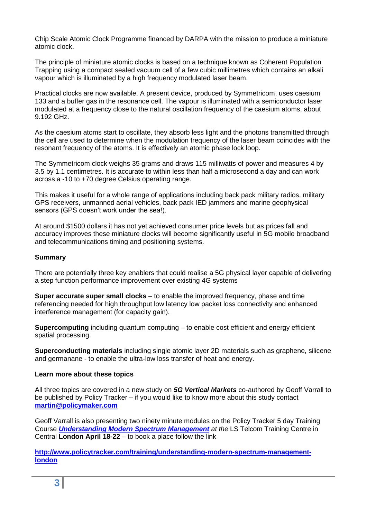Chip Scale Atomic Clock Programme financed by DARPA with the mission to produce a miniature atomic clock.

The principle of miniature atomic clocks is based on a technique known as Coherent Population Trapping using a compact sealed vacuum cell of a few cubic millimetres which contains an alkali vapour which is illuminated by a high frequency modulated laser beam.

Practical clocks are now available. A present device, produced by Symmetricom, uses caesium 133 and a buffer gas in the resonance cell. The vapour is illuminated with a semiconductor laser modulated at a frequency close to the natural oscillation frequency of the caesium atoms, about 9.192 GHz.

As the caesium atoms start to oscillate, they absorb less light and the photons transmitted through the cell are used to determine when the modulation frequency of the laser beam coincides with the resonant frequency of the atoms. It is effectively an atomic phase lock loop.

The Symmetricom clock weighs 35 grams and draws 115 milliwatts of power and measures 4 by 3.5 by 1.1 centimetres. It is accurate to within less than half a microsecond a day and can work across a -10 to +70 degree Celsius operating range.

This makes it useful for a whole range of applications including back pack military radios, military GPS receivers, unmanned aerial vehicles, back pack IED jammers and marine geophysical sensors (GPS doesn't work under the sea!).

At around \$1500 dollars it has not yet achieved consumer price levels but as prices fall and accuracy improves these miniature clocks will become significantly useful in 5G mobile broadband and telecommunications timing and positioning systems.

#### **Summary**

There are potentially three key enablers that could realise a 5G physical layer capable of delivering a step function performance improvement over existing 4G systems

**Super accurate super small clocks** – to enable the improved frequency, phase and time referencing needed for high throughput low latency low packet loss connectivity and enhanced interference management (for capacity gain).

**Supercomputing** including quantum computing – to enable cost efficient and energy efficient spatial processing.

**Superconducting materials** including single atomic layer 2D materials such as graphene, silicene and germanane - to enable the ultra-low loss transfer of heat and energy.

#### **Learn more about these topics**

All three topics are covered in a new study on *5G Vertical Markets* co-authored by Geoff Varrall to be published by Policy Tracker – if you would like to know more about this study contact **[martin@policymaker.com](mailto:martin@policymaker.com)**

Geoff Varrall is also presenting two ninety minute modules on the Policy Tracker 5 day Training Course *[Understanding Modern Spectrum Management](http://www.policytracker.com/training/understanding-modern-spectrum-management-london) at the* LS Telcom Training Centre in Central **London April 18-22** – to book a place follow the link

**[http://www.policytracker.com/training/understanding-modern-spectrum-management](http://www.policytracker.com/training/understanding-modern-spectrum-management-london)[london](http://www.policytracker.com/training/understanding-modern-spectrum-management-london)**